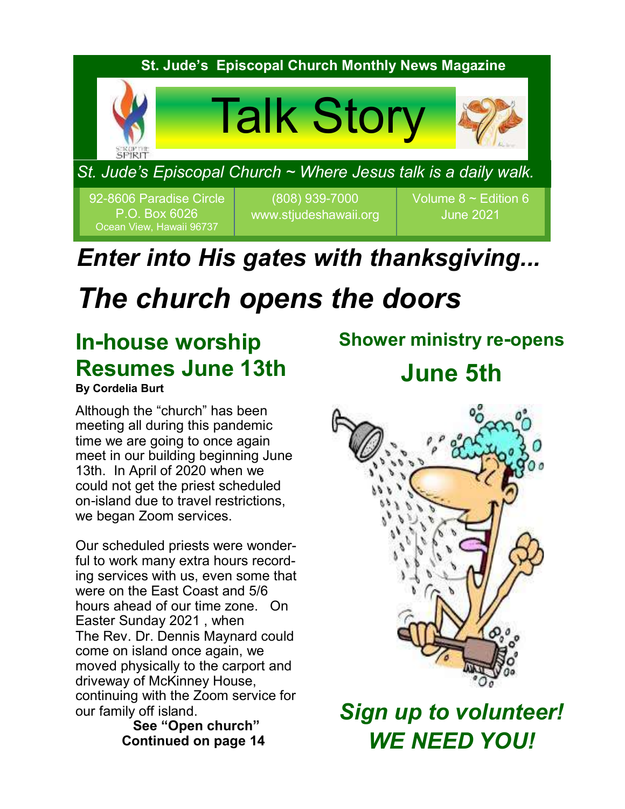

## *Enter into His gates with thanksgiving...*

# *The church opens the doors*

## **In-house worship Resumes June 13th**

**By Cordelia Burt**

Although the "church" has been meeting all during this pandemic time we are going to once again meet in our building beginning June 13th. In April of 2020 when we could not get the priest scheduled on-island due to travel restrictions, we began Zoom services.

Our scheduled priests were wonderful to work many extra hours recording services with us, even some that were on the East Coast and 5/6 hours ahead of our time zone. On Easter Sunday 2021 , when The Rev. Dr. Dennis Maynard could come on island once again, we moved physically to the carport and driveway of McKinney House, continuing with the Zoom service for our family off island.

 **See "Open church" Continued on page 14**

# **Shower ministry re-opens**

**June 5th**



*Sign up to volunteer! WE NEED YOU!*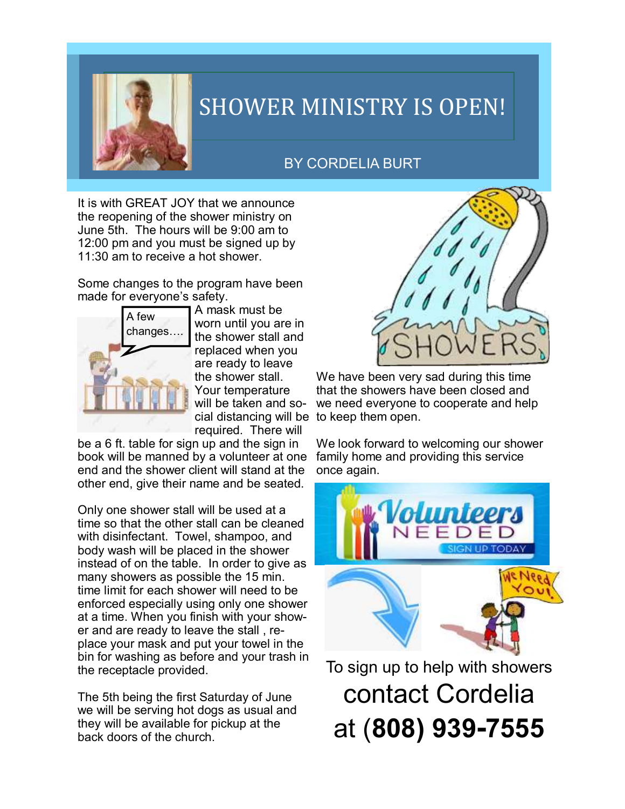

## SHOWER MINISTRY IS OPEN!

### BY CORDELIA BURT

It is with GREAT JOY that we announce the reopening of the shower ministry on June 5th. The hours will be 9:00 am to 12:00 pm and you must be signed up by 11:30 am to receive a hot shower.

Some changes to the program have been made for everyone's safety.



A mask must be worn until you are in the shower stall and replaced when you are ready to leave the shower stall. Your temperature will be taken and social distancing will be to keep them open. required. There will

be a 6 ft. table for sign up and the sign in book will be manned by a volunteer at one end and the shower client will stand at the other end, give their name and be seated.

Only one shower stall will be used at a time so that the other stall can be cleaned with disinfectant. Towel, shampoo, and body wash will be placed in the shower instead of on the table. In order to give as many showers as possible the 15 min. time limit for each shower will need to be enforced especially using only one shower at a time. When you finish with your shower and are ready to leave the stall , replace your mask and put your towel in the bin for washing as before and your trash in the receptacle provided.

The 5th being the first Saturday of June we will be serving hot dogs as usual and they will be available for pickup at the back doors of the church.



We have been very sad during this time that the showers have been closed and we need everyone to cooperate and help

We look forward to welcoming our shower family home and providing this service once again.



To sign up to help with showers contact Cordelia at (**808) 939-7555**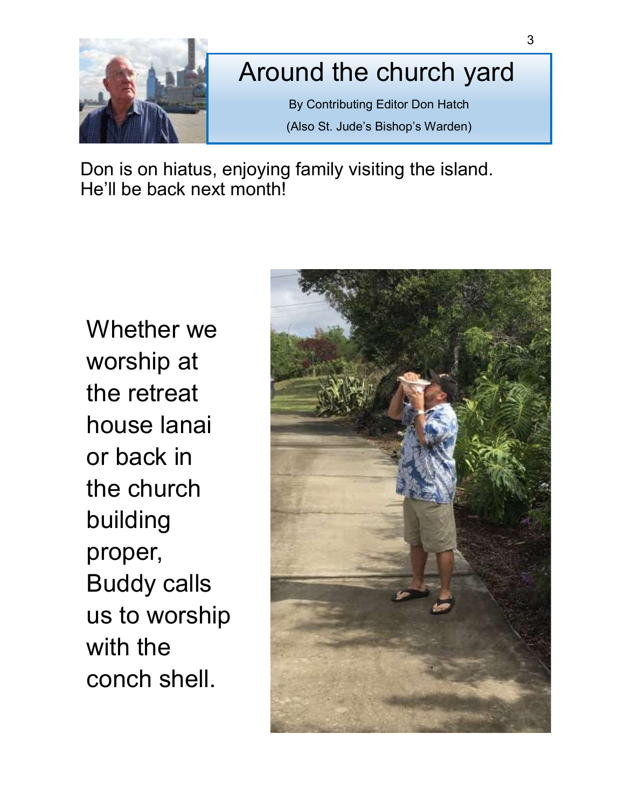

## Around the church yard

By Contributing Editor Don Hatch (Also St. Jude's Bishop's Warden)

Don is on hiatus, enjoying family visiting the island. He'll be back next month!

Whether we worship at the retreat house lanai or back in the church building proper, Buddy calls us to worship with the conch shell.

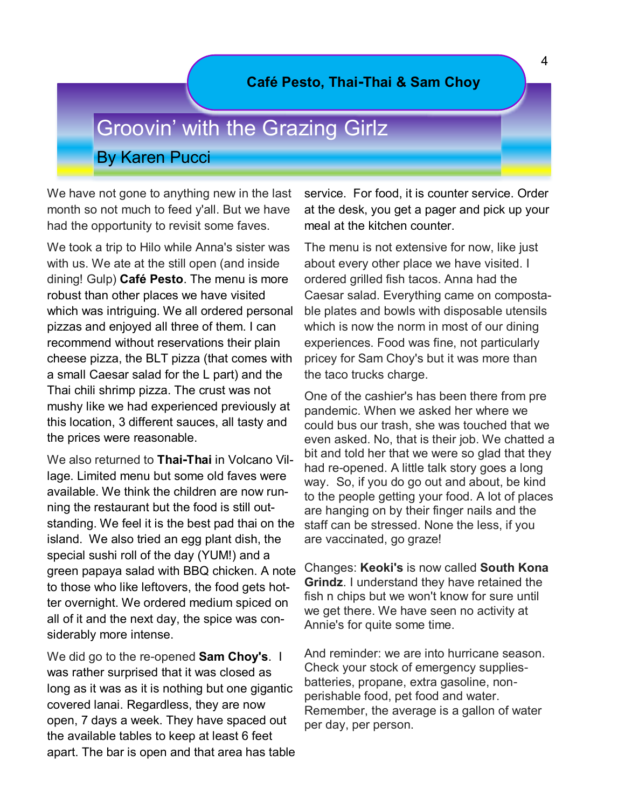#### **Café Pesto, Thai-Thai & Sam Choy**

## Groovin' with the Grazing Girlz By Karen Pucci

We have not gone to anything new in the last month so not much to feed y'all. But we have had the opportunity to revisit some faves.

We took a trip to Hilo while Anna's sister was with us. We ate at the still open (and inside dining! Gulp) **Café Pesto**. The menu is more robust than other places we have visited which was intriguing. We all ordered personal pizzas and enjoyed all three of them. I can recommend without reservations their plain cheese pizza, the BLT pizza (that comes with a small Caesar salad for the L part) and the Thai chili shrimp pizza. The crust was not mushy like we had experienced previously at this location, 3 different sauces, all tasty and the prices were reasonable.

We also returned to **Thai-Thai** in Volcano Village. Limited menu but some old faves were available. We think the children are now running the restaurant but the food is still outstanding. We feel it is the best pad thai on the island. We also tried an egg plant dish, the special sushi roll of the day (YUM!) and a green papaya salad with BBQ chicken. A note to those who like leftovers, the food gets hotter overnight. We ordered medium spiced on all of it and the next day, the spice was considerably more intense.

We did go to the re-opened **Sam Choy's**. I was rather surprised that it was closed as long as it was as it is nothing but one gigantic covered lanai. Regardless, they are now open, 7 days a week. They have spaced out the available tables to keep at least 6 feet apart. The bar is open and that area has table service. For food, it is counter service. Order at the desk, you get a pager and pick up your meal at the kitchen counter.

The menu is not extensive for now, like just about every other place we have visited. I ordered grilled fish tacos. Anna had the Caesar salad. Everything came on compostable plates and bowls with disposable utensils which is now the norm in most of our dining experiences. Food was fine, not particularly pricey for Sam Choy's but it was more than the taco trucks charge.

One of the cashier's has been there from pre pandemic. When we asked her where we could bus our trash, she was touched that we even asked. No, that is their job. We chatted a bit and told her that we were so glad that they had re-opened. A little talk story goes a long way. So, if you do go out and about, be kind to the people getting your food. A lot of places are hanging on by their finger nails and the staff can be stressed. None the less, if you are vaccinated, go graze!

Changes: **Keoki's** is now called **South Kona Grindz**. I understand they have retained the fish n chips but we won't know for sure until we get there. We have seen no activity at Annie's for quite some time.

And reminder: we are into hurricane season. Check your stock of emergency suppliesbatteries, propane, extra gasoline, nonperishable food, pet food and water. Remember, the average is a gallon of water per day, per person.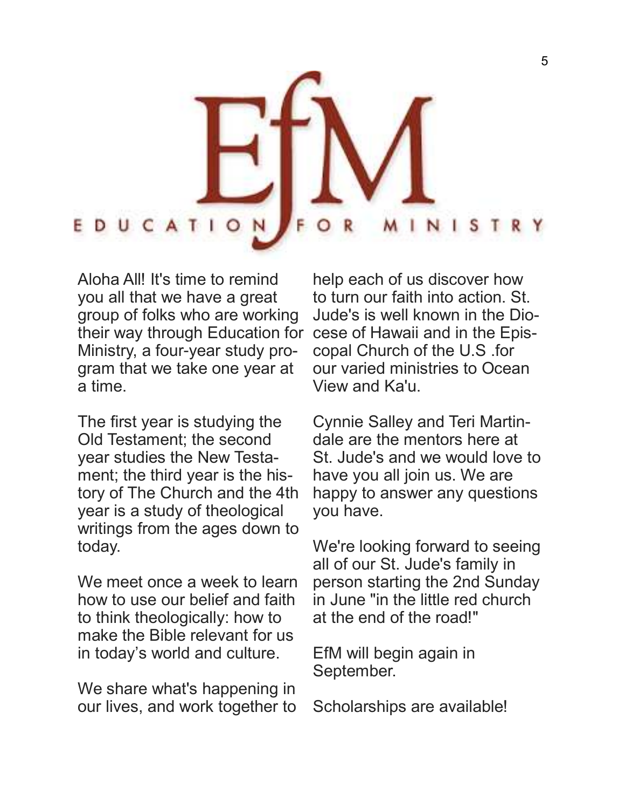

Aloha All! It's time to remind you all that we have a great group of folks who are working their way through Education for cese of Hawaii and in the Epis-Ministry, a four-year study program that we take one year at a time.

The first year is studying the Old Testament; the second year studies the New Testament; the third year is the history of The Church and the 4th year is a study of theological writings from the ages down to today.

We meet once a week to learn how to use our belief and faith to think theologically: how to make the Bible relevant for us in today's world and culture.

We share what's happening in our lives, and work together to

help each of us discover how to turn our faith into action. St. Jude's is well known in the Diocopal Church of the U.S .for our varied ministries to Ocean View and Ka'u.

Cynnie Salley and Teri Martindale are the mentors here at St. Jude's and we would love to have you all join us. We are happy to answer any questions you have.

We're looking forward to seeing all of our St. Jude's family in person starting the 2nd Sunday in June "in the little red church at the end of the road!"

EfM will begin again in September.

Scholarships are available!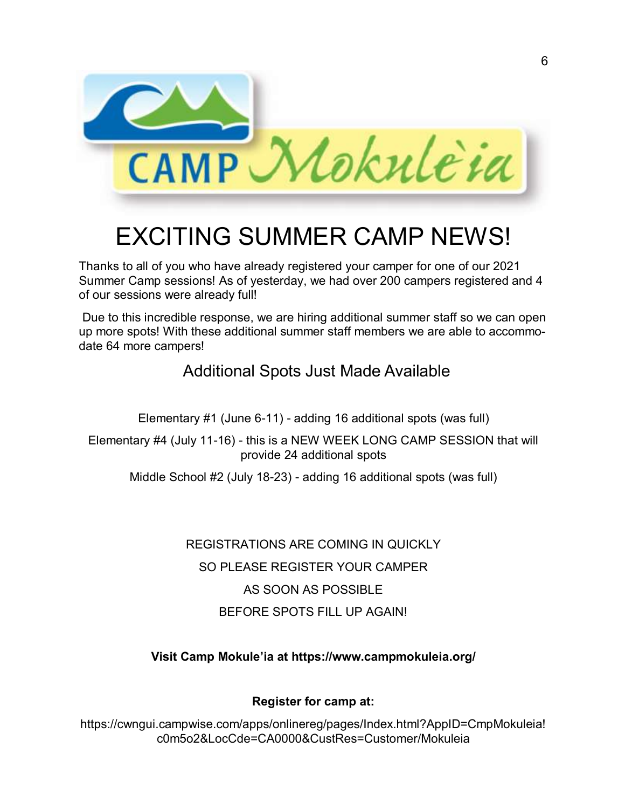

# EXCITING SUMMER CAMP NEWS!

Thanks to all of you who have already registered your camper for one of our 2021 Summer Camp sessions! As of yesterday, we had over 200 campers registered and 4 of our sessions were already full!

Due to this incredible response, we are hiring additional summer staff so we can open up more spots! With these additional summer staff members we are able to accommodate 64 more campers!

### Additional Spots Just Made Available

Elementary #1 (June 6-11) - adding 16 additional spots (was full)

Elementary #4 (July 11-16) - this is a NEW WEEK LONG CAMP SESSION that will provide 24 additional spots

Middle School #2 (July 18-23) - adding 16 additional spots (was full)

REGISTRATIONS ARE COMING IN QUICKLY SO PLEASE REGISTER YOUR CAMPER AS SOON AS POSSIBLE BEFORE SPOTS FILL UP AGAIN!

#### **Visit Camp Mokule'ia at https://www.campmokuleia.org/**

### **Register for camp at:**

https://cwngui.campwise.com/apps/onlinereg/pages/Index.html?AppID=CmpMokuleia! c0m5o2&LocCde=CA0000&CustRes=Customer/Mokuleia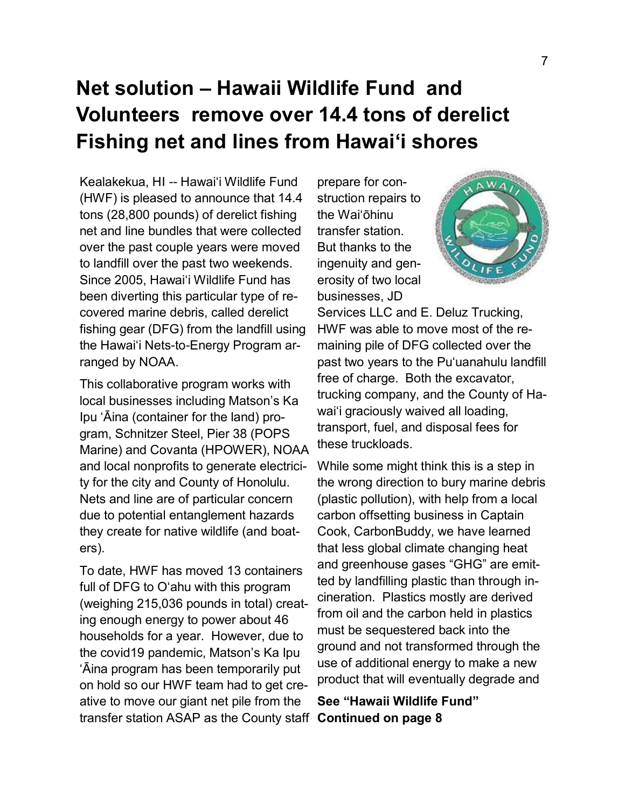## **Net solution – Hawaii Wildlife Fund and Volunteers remove over 14.4 tons of derelict Fishing net and lines from Hawai'i shores**

Kealakekua, HI -- Hawai'i Wildlife Fund (HWF) is pleased to announce that 14.4 tons (28,800 pounds) of derelict fishing net and line bundles that were collected over the past couple years were moved to landfill over the past two weekends. Since 2005, Hawai'i Wildlife Fund has been diverting this particular type of recovered marine debris, called derelict fishing gear (DFG) from the landfill using the Hawai'i Nets-to-Energy Program arranged by NOAA.

This collaborative program works with local businesses including Matson's Ka Ipu 'Āina (container for the land) program, Schnitzer Steel, Pier 38 (POPS Marine) and Covanta (HPOWER), NOAA and local nonprofits to generate electricity for the city and County of Honolulu. Nets and line are of particular concern due to potential entanglement hazards they create for native wildlife (and boaters).

To date, HWF has moved 13 containers full of DFG to O'ahu with this program (weighing 215,036 pounds in total) creating enough energy to power about 46 households for a year. However, due to the covid19 pandemic, Matson's Ka Ipu 'Āina program has been temporarily put on hold so our HWF team had to get creative to move our giant net pile from the transfer station ASAP as the County staff **Continued on page 8**

prepare for construction repairs to the Waiʻōhinu transfer station. But thanks to the ingenuity and generosity of two local businesses, JD



Services LLC and E. Deluz Trucking, HWF was able to move most of the remaining pile of DFG collected over the past two years to the Puʻuanahulu landfill free of charge. Both the excavator, trucking company, and the County of Hawai'i graciously waived all loading, transport, fuel, and disposal fees for these truckloads.

While some might think this is a step in the wrong direction to bury marine debris (plastic pollution), with help from a local carbon offsetting business in Captain Cook, CarbonBuddy, we have learned that less global climate changing heat and greenhouse gases "GHG" are emitted by landfilling plastic than through incineration. Plastics mostly are derived from oil and the carbon held in plastics must be sequestered back into the ground and not transformed through the use of additional energy to make a new product that will eventually degrade and

**See "Hawaii Wildlife Fund"**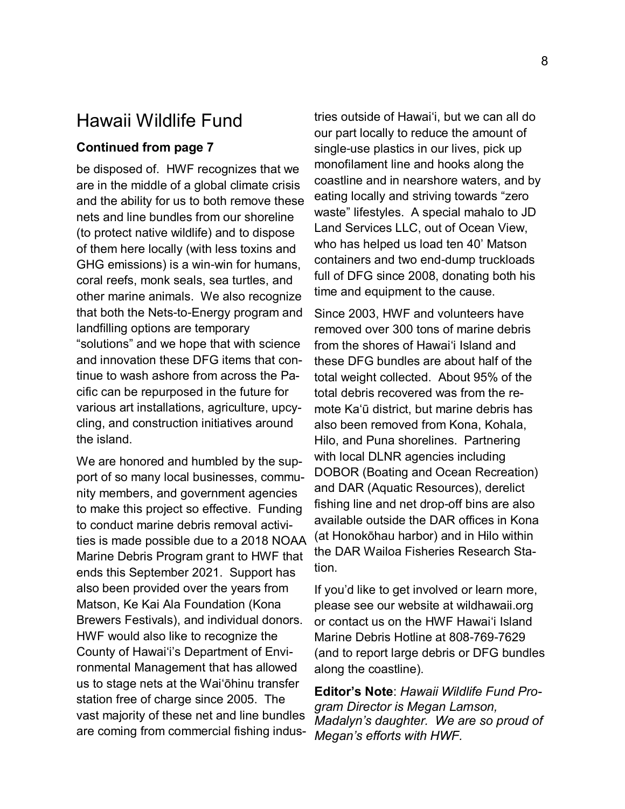### Hawaii Wildlife Fund

#### **Continued from page 7**

be disposed of. HWF recognizes that we are in the middle of a global climate crisis and the ability for us to both remove these nets and line bundles from our shoreline (to protect native wildlife) and to dispose of them here locally (with less toxins and GHG emissions) is a win-win for humans, coral reefs, monk seals, sea turtles, and other marine animals. We also recognize that both the Nets-to-Energy program and landfilling options are temporary "solutions" and we hope that with science and innovation these DFG items that continue to wash ashore from across the Pacific can be repurposed in the future for various art installations, agriculture, upcycling, and construction initiatives around the island.

We are honored and humbled by the support of so many local businesses, community members, and government agencies to make this project so effective. Funding to conduct marine debris removal activities is made possible due to a 2018 NOAA Marine Debris Program grant to HWF that ends this September 2021. Support has also been provided over the years from Matson, Ke Kai Ala Foundation (Kona Brewers Festivals), and individual donors. HWF would also like to recognize the County of Hawai'i's Department of Environmental Management that has allowed us to stage nets at the Wai'ōhinu transfer station free of charge since 2005. The vast majority of these net and line bundles are coming from commercial fishing industries outside of Hawai'i, but we can all do our part locally to reduce the amount of single-use plastics in our lives, pick up monofilament line and hooks along the coastline and in nearshore waters, and by eating locally and striving towards "zero waste" lifestyles. A special mahalo to JD Land Services LLC, out of Ocean View, who has helped us load ten 40' Matson containers and two end-dump truckloads full of DFG since 2008, donating both his time and equipment to the cause.

Since 2003, HWF and volunteers have removed over 300 tons of marine debris from the shores of Hawai'i Island and these DFG bundles are about half of the total weight collected. About 95% of the total debris recovered was from the remote Kaʻū district, but marine debris has also been removed from Kona, Kohala, Hilo, and Puna shorelines. Partnering with local DLNR agencies including DOBOR (Boating and Ocean Recreation) and DAR (Aquatic Resources), derelict fishing line and net drop-off bins are also available outside the DAR offices in Kona (at Honokōhau harbor) and in Hilo within the DAR Wailoa Fisheries Research Station.

If you'd like to get involved or learn more, please see our website at wildhawaii.org or contact us on the HWF Hawai'i Island Marine Debris Hotline at 808-769-7629 (and to report large debris or DFG bundles along the coastline).

**Editor's Note**: *Hawaii Wildlife Fund Program Director is Megan Lamson, Madalyn's daughter. We are so proud of Megan's efforts with HWF.*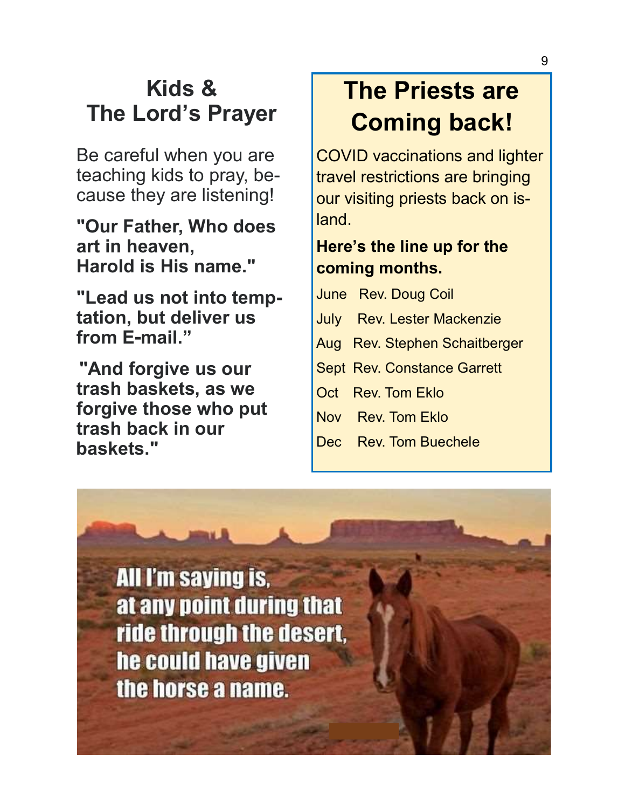## **Kids & The Lord's Prayer**

Be careful when you are teaching kids to pray, because they are listening!

**"Our Father, Who does art in heaven, Harold is His name."**

**"Lead us not into temptation, but deliver us from E-mail."**

**"And forgive us our trash baskets, as we forgive those who put trash back in our baskets."**

# **The Priests are Coming back!**

COVID vaccinations and lighter travel restrictions are bringing our visiting priests back on island.

### **Here's the line up for the coming months.**

June Rev. Doug Coil July Rev. Lester Mackenzie Aug Rev. Stephen Schaitberger Sept Rev. Constance Garrett Oct Rev. Tom Eklo Nov Rev. Tom Eklo

Dec Rev. Tom Buechele

**All I'm saying is,** at any point during that ride through the desert, he could have given the horse a name.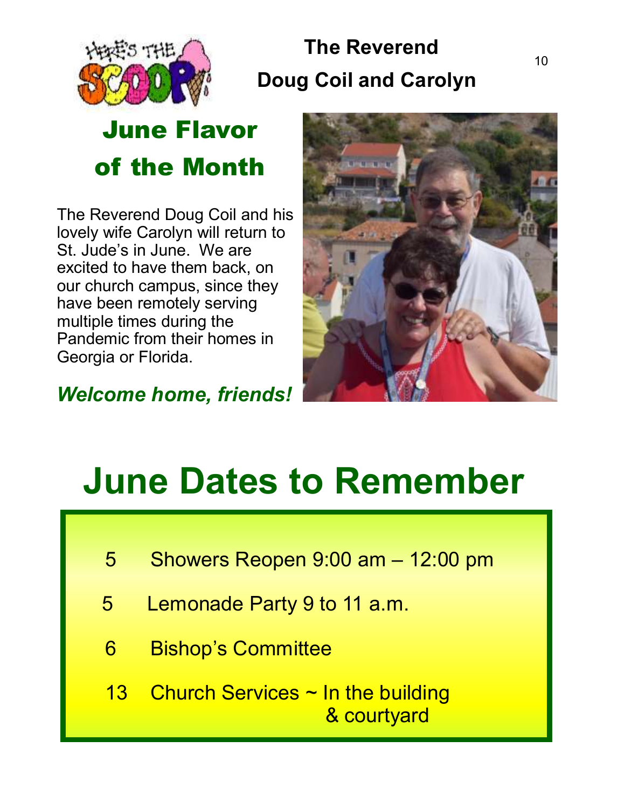

## **The Reverend Doug Coil and Carolyn**

# **June Flavor of the Month**

The Reverend Doug Coil and his lovely wife Carolyn will return to St. Jude's in June. We are excited to have them back, on our church campus, since they have been remotely serving multiple times during the Pandemic from their homes in Georgia or Florida.



*Welcome home, friends!* 

# **June Dates to Remember**

- 5 Showers Reopen 9:00 am 12:00 pm
- 5 Lemonade Party 9 to 11 a.m.
- 6 Bishop's Committee
- 13 Church Services  $\sim$  In the building & courtyard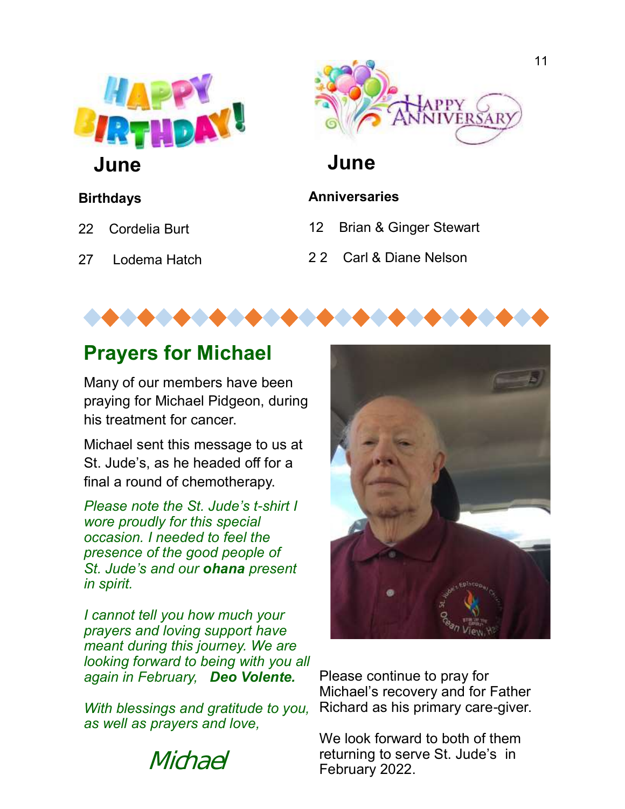

**June**

### **Birthdays**

- 22 Cordelia Burt
- 27 Lodema Hatch



## **June**

### **Anniversaries**

- 12 Brian & Ginger Stewart
- 2 2 Carl & Diane Nelson



## **Prayers for Michael**

Many of our members have been praying for Michael Pidgeon, during his treatment for cancer.

Michael sent this message to us at St. Jude's, as he headed off for a final a round of chemotherapy.

*Please note the St. Jude's t-shirt I wore proudly for this special occasion. I needed to feel the presence of the good people of St. Jude's and our ohana present in spirit.* 

*I cannot tell you how much your prayers and loving support have meant during this journey. We are looking forward to being with you all again in February, Deo Volente.*

*With blessings and gratitude to you, as well as prayers and love,*





Please continue to pray for Michael's recovery and for Father Richard as his primary care-giver.

We look forward to both of them returning to serve St. Jude's in February 2022.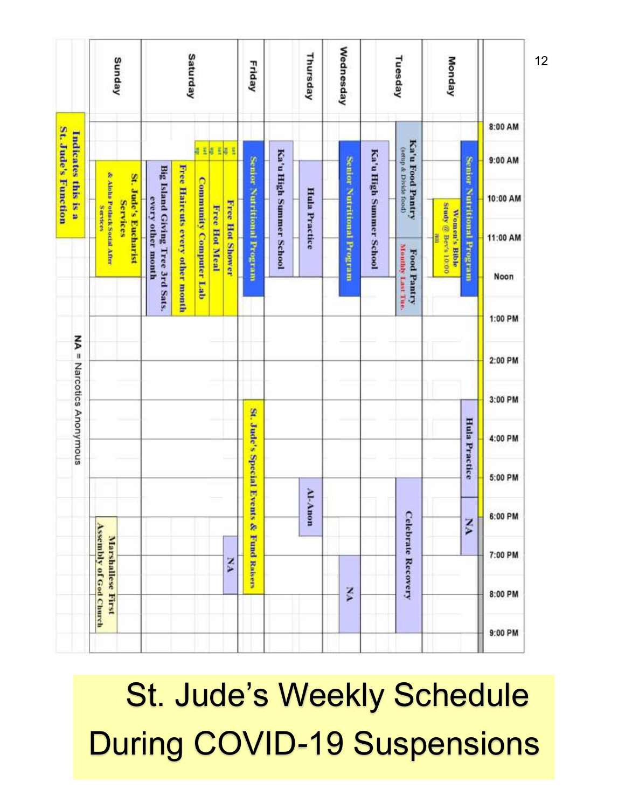|                                            | Sunday                                                                       | Saturday                                                                                             | Friday                                   | Thursday                | Wednesday                  | Tuesday                                                              | Monday                                              |                    |
|--------------------------------------------|------------------------------------------------------------------------------|------------------------------------------------------------------------------------------------------|------------------------------------------|-------------------------|----------------------------|----------------------------------------------------------------------|-----------------------------------------------------|--------------------|
| St. Jude's Function<br>Indicates this is a |                                                                              | E<br>睛<br>₩<br>ă                                                                                     |                                          |                         |                            |                                                                      |                                                     | 8:00 AM<br>9:00 AM |
|                                            | & Alohn Potinck Social After<br>St. Jude's Eucharist<br>Services<br>Services | Free Haircuts every other month<br>Big Island Giving Tree 3rd Sats.<br><b>Community Computer Lab</b> |                                          | <b>Hula Practice</b>    |                            | Ka'u Food Pantry<br>(netup & Divide food)<br>Ka'u High Summer School | Senior Nutritional Program                          | 10:00 AM           |
|                                            |                                                                              | every other month<br>Free Hot Shower<br>Free Hot Meal                                                | Senior Nutritional Program               | Ka'u High Summer School | Senior Nutritional Program |                                                                      | <b>Study</b> @ Bev's 10:00<br>Women's Bible<br>tent | 11:00 AM           |
|                                            |                                                                              |                                                                                                      |                                          |                         |                            | Monthly Last Tue.<br>Food Pantry                                     |                                                     | Noon               |
|                                            |                                                                              |                                                                                                      |                                          |                         |                            |                                                                      |                                                     | 1:00 PM            |
|                                            |                                                                              |                                                                                                      |                                          |                         |                            |                                                                      |                                                     | 2:00 PM            |
|                                            |                                                                              |                                                                                                      |                                          |                         |                            |                                                                      |                                                     | 3:00 PM            |
| NA = Narcotics Anonymous                   |                                                                              |                                                                                                      |                                          |                         |                            |                                                                      | Hula Practice                                       | 4:00 PM            |
|                                            |                                                                              |                                                                                                      |                                          |                         |                            |                                                                      |                                                     | 5:00 PM            |
|                                            |                                                                              |                                                                                                      |                                          | Al-Anon                 |                            |                                                                      | $\mathbf{X}$                                        | 6:00 PM            |
|                                            | Marshallese First                                                            | YN                                                                                                   | St. Jude's Special Events & Fund Raisers |                         |                            | <b>Celebrate Recovery</b>                                            |                                                     | 7:00 PM            |
|                                            | <b>Assembly of God Church</b>                                                |                                                                                                      |                                          |                         | XX                         |                                                                      |                                                     | 8:00 PM            |
|                                            |                                                                              |                                                                                                      |                                          |                         |                            |                                                                      |                                                     | 9:00 PM            |

 St. Jude's Weekly Schedule During COVID-19 Suspensions

12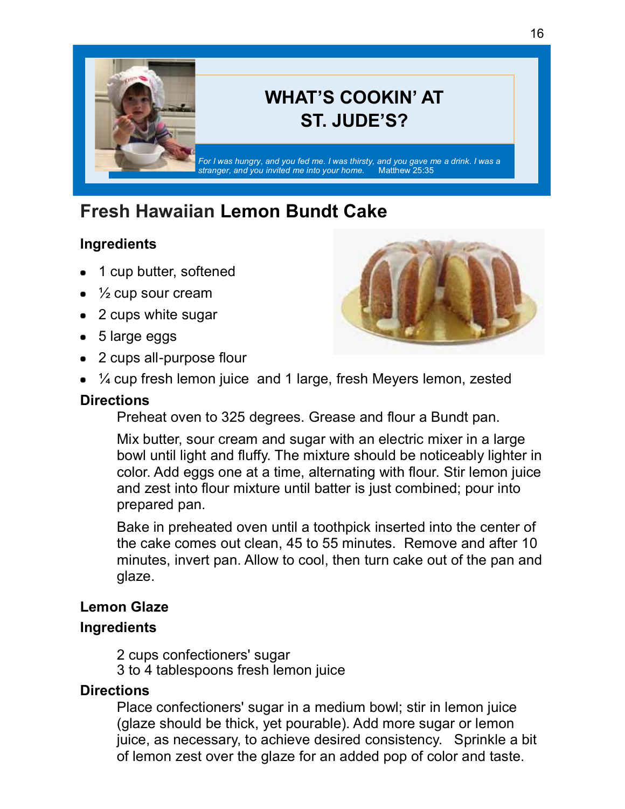

## **WHAT'S COOKIN' AT ST. JUDE'S?**

*For I was hungry, and you fed me. I was thirsty, and you gave me a drink. I was a stranger, and you invited me into your home.* Matthew 25:35

## **Fresh Hawaiian Lemon Bundt Cake**

### **Ingredients**

- 1 cup butter, softened
- $\frac{1}{2}$  cup sour cream
- 2 cups white sugar
- 5 large eggs
- 2 cups all-purpose flour
	- 1/4 cup fresh lemon juice and 1 large, fresh Meyers lemon, zested

### **Directions**

Preheat oven to 325 degrees. Grease and flour a Bundt pan.

Mix butter, sour cream and sugar with an electric mixer in a large bowl until light and fluffy. The mixture should be noticeably lighter in color. Add eggs one at a time, alternating with flour. Stir lemon juice and zest into flour mixture until batter is just combined; pour into prepared pan.

Bake in preheated oven until a toothpick inserted into the center of the cake comes out clean, 45 to 55 minutes. Remove and after 10 minutes, invert pan. Allow to cool, then turn cake out of the pan and glaze.

### **Lemon Glaze**

### **Ingredients**

2 cups confectioners' sugar 3 to 4 tablespoons fresh lemon juice

### **Directions**

Place confectioners' sugar in a medium bowl; stir in lemon juice (glaze should be thick, yet pourable). Add more sugar or lemon juice, as necessary, to achieve desired consistency. Sprinkle a bit of lemon zest over the glaze for an added pop of color and taste.



13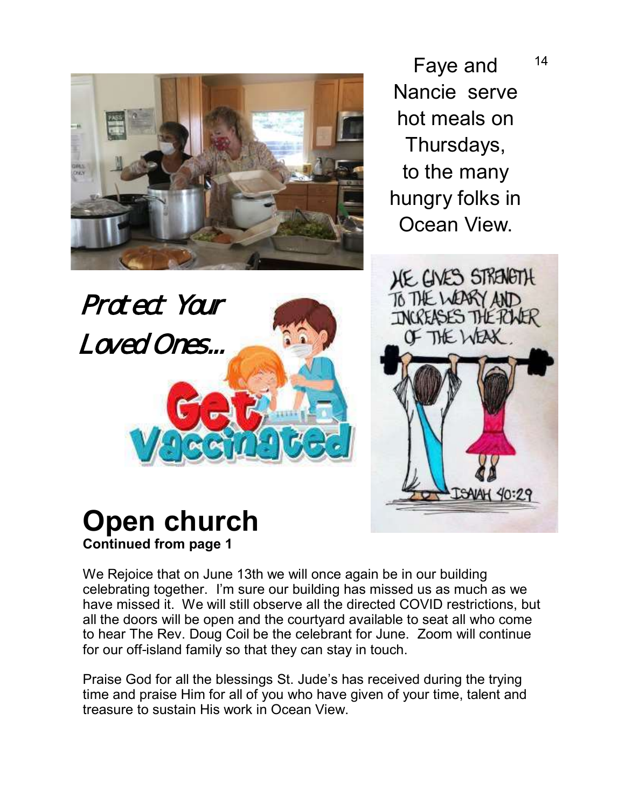

Faye and Nancie serve hot meals on Thursdays, to the many hungry folks in Ocean View.



## **Open church Continued from page 1**

Protect Your

Loved Ones...

We Rejoice that on June 13th we will once again be in our building celebrating together. I'm sure our building has missed us as much as we have missed it. We will still observe all the directed COVID restrictions, but all the doors will be open and the courtyard available to seat all who come to hear The Rev. Doug Coil be the celebrant for June. Zoom will continue for our off-island family so that they can stay in touch.

Praise God for all the blessings St. Jude's has received during the trying time and praise Him for all of you who have given of your time, talent and treasure to sustain His work in Ocean View.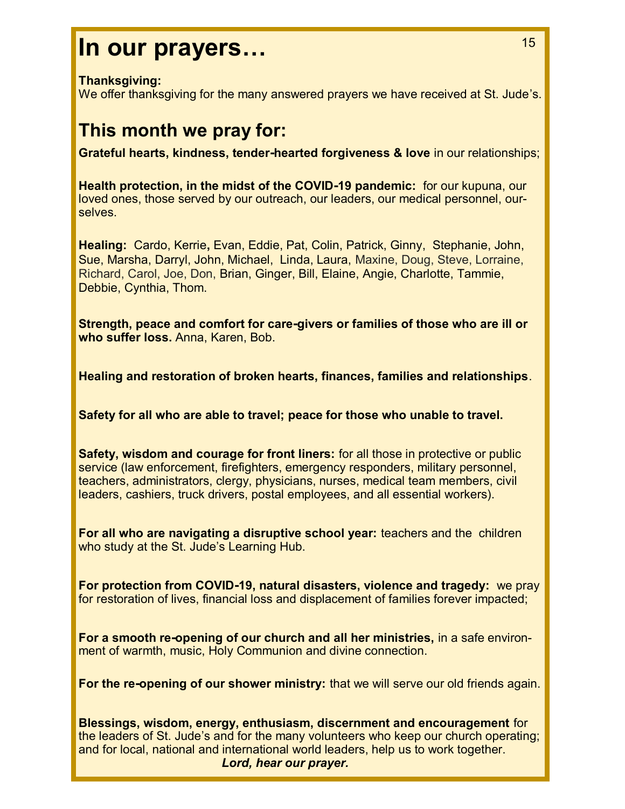## **In our prayers…**

#### **Thanksgiving:**

We offer thanksgiving for the many answered prayers we have received at St. Jude's.

## **This month we pray for:**

**Grateful hearts, kindness, tender-hearted forgiveness & love** in our relationships;

**Health protection, in the midst of the COVID-19 pandemic:** for our kupuna, our loved ones, those served by our outreach, our leaders, our medical personnel, ourselves.

**Healing:** Cardo, Kerrie**,** Evan, Eddie, Pat, Colin, Patrick, Ginny, Stephanie, John, Sue, Marsha, Darryl, John, Michael, Linda, Laura, Maxine, Doug, Steve, Lorraine, Richard, Carol, Joe, Don, Brian, Ginger, Bill, Elaine, Angie, Charlotte, Tammie, Debbie, Cynthia, Thom.

**Strength, peace and comfort for care-givers or families of those who are ill or who suffer loss.** Anna, Karen, Bob.

**Healing and restoration of broken hearts, finances, families and relationships**.

**Safety for all who are able to travel; peace for those who unable to travel.** 

**Safety, wisdom and courage for front liners:** for all those in protective or public service (law enforcement, firefighters, emergency responders, military personnel, teachers, administrators, clergy, physicians, nurses, medical team members, civil leaders, cashiers, truck drivers, postal employees, and all essential workers).

**For all who are navigating a disruptive school year:** teachers and the children who study at the St. Jude's Learning Hub.

**For protection from COVID-19, natural disasters, violence and tragedy:** we pray for restoration of lives, financial loss and displacement of families forever impacted;

**For a smooth re-opening of our church and all her ministries,** in a safe environment of warmth, music, Holy Communion and divine connection.

**For the re-opening of our shower ministry:** that we will serve our old friends again.

**Blessings, wisdom, energy, enthusiasm, discernment and encouragement** for the leaders of St. Jude's and for the many volunteers who keep our church operating; and for local, national and international world leaders, help us to work together. *Lord, hear our prayer.* 

15